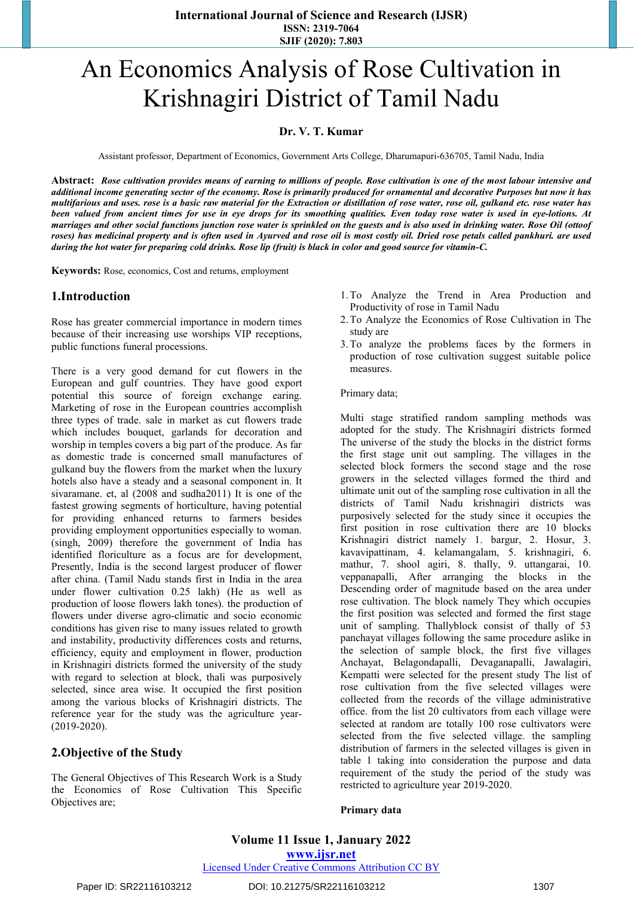# An Economics Analysis of Rose Cultivation in Krishnagiri District of Tamil Nadu

## **Dr. V. T. Kumar**

Assistant professor, Department of Economics, Government Arts College, Dharumapuri-636705, Tamil Nadu, India

Abstract: Rose cultivation provides means of earning to millions of people. Rose cultivation is one of the most labour intensive and additional income generating sector of the economy. Rose is primarily produced for ornamental and decorative Purposes but now it has multifarious and uses. rose is a basic raw material for the Extraction or distillation of rose water, rose oil, gulkand etc. rose water has been valued from ancient times for use in eye drops for its smoothing qualities. Even today rose water is used in eye-lotions. At marriages and other social functions junction rose water is sprinkled on the guests and is also used in drinking water. Rose Oil (ottoof roses) has medicinal property and is often used in Ayurved and rose oil is most costly oil. Dried rose petals called pankhuri, are used during the hot water for preparing cold drinks. Rose lip (fruit) is black in color and good source for vitamin-C.

**Keywords:** Rose, economics, Cost and returns, employment

#### **1.Introduction**

Rose has greater commercial importance in modern times because of their increasing use worships VIP receptions, public functions funeral processions.

There is a very good demand for cut flowers in the European and gulf countries. They have good export potential this source of foreign exchange earing. Marketing of rose in the European countries accomplish three types of trade. sale in market as cut flowers trade which includes bouquet, garlands for decoration and worship in temples covers a big part of the produce. As far as domestic trade is concerned small manufactures of gulkand buy the flowers from the market when the luxury hotels also have a steady and a seasonal component in. It sivaramane. et, al (2008 and sudha2011) It is one of the fastest growing segments of horticulture, having potential for providing enhanced returns to farmers besides providing employment opportunities especially to woman. (singh, 2009) therefore the government of India has identified floriculture as a focus are for development, Presently, India is the second largest producer of flower after china. (Tamil Nadu stands first in India in the area under flower cultivation 0.25 lakh) (He as well as production of loose flowers lakh tones). the production of flowers under diverse agro-climatic and socio economic conditions has given rise to many issues related to growth and instability, productivity differences costs and returns, efficiency, equity and employment in flower, production in Krishnagiri districts formed the university of the study with regard to selection at block, thali was purposively selected, since area wise. It occupied the first position among the various blocks of Krishnagiri districts. The reference year for the study was the agriculture year- (2019-2020).

## **2.Objective of the Study**

The General Objectives of This Research Work is a Study the Economics of Rose Cultivation This Specific Objectives are;

- 1.To Analyze the Trend in Area Production and Productivity of rose in Tamil Nadu
- 2.To Analyze the Economics of Rose Cultivation in The study are
- 3.To analyze the problems faces by the formers in production of rose cultivation suggest suitable police measures.

#### Primary data;

Multi stage stratified random sampling methods was adopted for the study. The Krishnagiri districts formed The universe of the study the blocks in the district forms the first stage unit out sampling. The villages in the selected block formers the second stage and the rose growers in the selected villages formed the third and ultimate unit out of the sampling rose cultivation in all the districts of Tamil Nadu krishnagiri districts was purposively selected for the study since it occupies the first position in rose cultivation there are 10 blocks Krishnagiri district namely 1. bargur, 2. Hosur, 3. kavavipattinam, 4. kelamangalam, 5. krishnagiri, 6. mathur, 7. shool agiri, 8. thally, 9. uttangarai, 10. veppanapalli, After arranging the blocks in the Descending order of magnitude based on the area under rose cultivation. The block namely They which occupies the first position was selected and formed the first stage unit of sampling. Thallyblock consist of thally of 53 panchayat villages following the same procedure aslike in the selection of sample block, the first five villages Anchayat, Belagondapalli, Devaganapalli, Jawalagiri, Kempatti were selected for the present study The list of rose cultivation from the five selected villages were collected from the records of the village administrative office. from the list 20 cultivators from each village were selected at random are totally 100 rose cultivators were selected from the five selected village. the sampling distribution of farmers in the selected villages is given in table 1 taking into consideration the purpose and data requirement of the study the period of the study was restricted to agriculture year 2019-2020.

#### **Primary data**

Paper ID: SR22116103212 DOI: 10.21275/SR22116103212 1307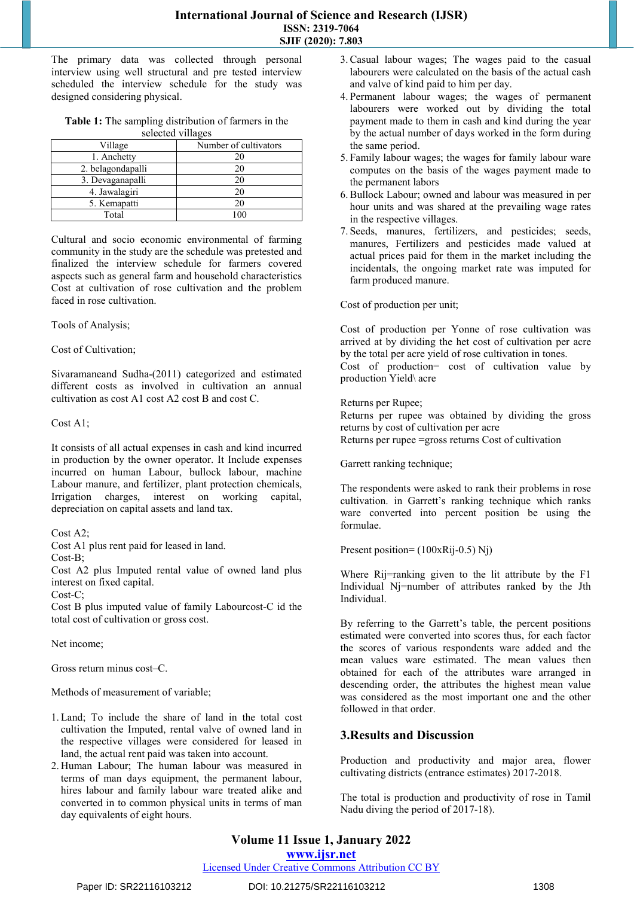The primary data was collected through personal interview using well structural and pre tested interview scheduled the interview schedule for the study was designed considering physical.

**Table 1:** The sampling distribution of farmers in the selected villages

| Village           | Number of cultivators |
|-------------------|-----------------------|
| 1. Anchetty       |                       |
| 2. belagondapalli | 20                    |
| 3. Devaganapalli  | 20                    |
| 4. Jawalagiri     | 20                    |
| 5. Kemapatti      | 20                    |
| Total             | ۱M                    |

Cultural and socio economic environmental of farming community in the study are the schedule was pretested and finalized the interview schedule for farmers covered aspects such as general farm and household characteristics Cost at cultivation of rose cultivation and the problem faced in rose cultivation.

Tools of Analysis;

#### Cost of Cultivation;

Sivaramaneand Sudha-(2011) categorized and estimated different costs as involved in cultivation an annual cultivation as cost A1 cost A2 cost B and cost C.

#### Cost A1;

It consists of all actual expenses in cash and kind incurred in production by the owner operator. It Include expenses incurred on human Labour, bullock labour, machine Labour manure, and fertilizer, plant protection chemicals, Irrigation charges, interest on working capital, depreciation on capital assets and land tax.

#### Cost A2;

Cost A1 plus rent paid for leased in land.

Cost-B;

Cost A2 plus Imputed rental value of owned land plus interest on fixed capital.

 $Cost-C$ 

Cost B plus imputed value of family Labourcost-C id the total cost of cultivation or gross cost.

Net income;

Gross return minus cost–C.

Methods of measurement of variable;

- 1. Land; To include the share of land in the total cost cultivation the Imputed, rental valve of owned land in the respective villages were considered for leased in land, the actual rent paid was taken into account.
- 2. Human Labour; The human labour was measured in terms of man days equipment, the permanent labour, hires labour and family labour ware treated alike and converted in to common physical units in terms of man day equivalents of eight hours.
- 3. Casual labour wages; The wages paid to the casual labourers were calculated on the basis of the actual cash and valve of kind paid to him per day.
- 4. Permanent labour wages; the wages of permanent labourers were worked out by dividing the total payment made to them in cash and kind during the year by the actual number of days worked in the form during the same period.
- 5. Family labour wages; the wages for family labour ware computes on the basis of the wages payment made to the permanent labors
- 6. Bullock Labour; owned and labour was measured in per hour units and was shared at the prevailing wage rates in the respective villages.
- 7. Seeds, manures, fertilizers, and pesticides; seeds, manures, Fertilizers and pesticides made valued at actual prices paid for them in the market including the incidentals, the ongoing market rate was imputed for farm produced manure.

Cost of production per unit;

Cost of production per Yonne of rose cultivation was arrived at by dividing the het cost of cultivation per acre by the total per acre yield of rose cultivation in tones. Cost of production= cost of cultivation value by

production Yield\ acre

#### Returns per Rupee;

Returns per rupee was obtained by dividing the gross returns by cost of cultivation per acre

Returns per rupee =gross returns Cost of cultivation

Garrett ranking technique;

The respondents were asked to rank their problems in rose cultivation. in Garrett's ranking technique which ranks ware converted into percent position be using the formulae.

Present position= (100xRij-0.5) Nj)

Where Rij=ranking given to the lit attribute by the F1 Individual Nj=number of attributes ranked by the Jth Individual.

By referring to the Garrett's table, the percent positions estimated were converted into scores thus, for each factor the scores of various respondents ware added and the mean values ware estimated. The mean values then obtained for each of the attributes ware arranged in descending order, the attributes the highest mean value was considered as the most important one and the other followed in that order.

## **3.Results and Discussion**

Production and productivity and major area, flower cultivating districts (entrance estimates) 2017-2018.

The total is production and productivity of rose in Tamil Nadu diving the period of 2017-18).

# **Volume 11 Issue 1, January 2022**

**www.ijsr.net**

#### Licensed Under Creative Commons Attribution CC BY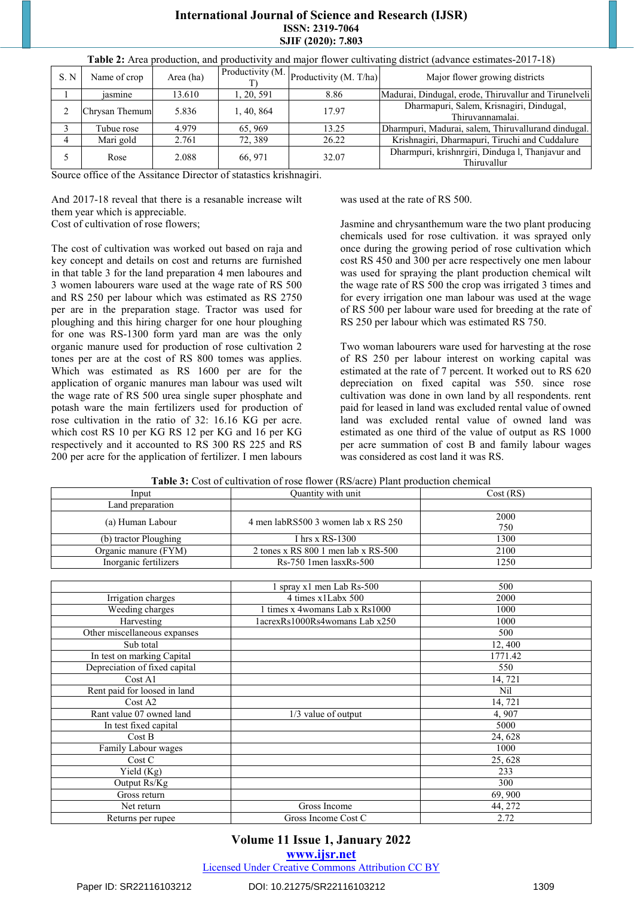#### **International Journal of Science and Research (IJSR) ISSN: 2319-7064 SJIF (2020): 7.803**

| S. N | Name of crop   | Area (ha) | Productivity $(M. \vert)$ | Productivity (M. T/ha) | Major flower growing districts                                  |
|------|----------------|-----------|---------------------------|------------------------|-----------------------------------------------------------------|
|      | iasmine        | 13.610    | 1, 20, 591                | 8.86                   | Madurai, Dindugal, erode, Thiruvallur and Tirunelveli           |
|      | Chrysan Themum | 5.836     | 1, 40, 864                | 17.97                  | Dharmapuri, Salem, Krisnagiri, Dindugal,<br>Thiruvannamalai.    |
|      | Tubue rose     | 4.979     | 65, 969                   | 13.25                  | Dharmpuri, Madurai, salem, Thiruvallurand dindugal.             |
|      | Mari gold      | 2.761     | 72.389                    | 26.22                  | Krishnagiri, Dharmapuri, Tiruchi and Cuddalure                  |
|      | Rose           | 2.088     | 66, 971                   | 32.07                  | Dharmpuri, krishnrgiri, Dinduga l, Thanjavur and<br>Thiruvallur |

**Table 2:** Area production, and productivity and major flower cultivating district (advance estimates-2017-18)

Source office of the Assitance Director of statastics krishnagiri.

And 2017-18 reveal that there is a resanable increase wilt them year which is appreciable.

Cost of cultivation of rose flowers;

The cost of cultivation was worked out based on raja and key concept and details on cost and returns are furnished in that table 3 for the land preparation 4 men laboures and 3 women labourers ware used at the wage rate of RS 500 and RS 250 per labour which was estimated as RS 2750 per are in the preparation stage. Tractor was used for ploughing and this hiring charger for one hour ploughing for one was RS-1300 form yard man are was the only organic manure used for production of rose cultivation 2 tones per are at the cost of RS 800 tomes was applies. Which was estimated as RS 1600 per are for the application of organic manures man labour was used wilt the wage rate of RS 500 urea single super phosphate and potash ware the main fertilizers used for production of rose cultivation in the ratio of 32: 16.16 KG per acre. which cost RS 10 per KG RS 12 per KG and 16 per KG respectively and it accounted to RS 300 RS 225 and RS 200 per acre for the application of fertilizer. I men labours was used at the rate of RS 500.

Jasmine and chrysanthemum ware the two plant producing chemicals used for rose cultivation. it was sprayed only once during the growing period of rose cultivation which cost RS 450 and 300 per acre respectively one men labour was used for spraying the plant production chemical wilt the wage rate of RS 500 the crop was irrigated 3 times and for every irrigation one man labour was used at the wage of RS 500 per labour ware used for breeding at the rate of RS 250 per labour which was estimated RS 750.

Two woman labourers ware used for harvesting at the rose of RS 250 per labour interest on working capital was estimated at the rate of 7 percent. It worked out to RS 620 depreciation on fixed capital was 550. since rose cultivation was done in own land by all respondents. rent paid for leased in land was excluded rental value of owned land was excluded rental value of owned land was estimated as one third of the value of output as RS 1000 per acre summation of cost B and family labour wages was considered as cost land it was RS.

| <b>Table 3:</b> Cost of cultivation of rose flower (RS/acre) Plant production chemical |  |  |
|----------------------------------------------------------------------------------------|--|--|
|                                                                                        |  |  |

| Input                 | Ouantity with unit                   | Cost (RS)   |
|-----------------------|--------------------------------------|-------------|
| Land preparation      |                                      |             |
| (a) Human Labour      | 4 men labRS500 3 women lab x RS 250  | 2000<br>750 |
| (b) tractor Ploughing | I hrs $x$ RS-1300                    | 1300        |
| Organic manure (FYM)  | 2 tones x RS $8001$ men lab x RS-500 | 2100        |
| Inorganic fertilizers | $Rs-750$ 1 men $lasxRs-500$          | 1250        |

|                               | 1 spray x1 men Lab Rs-500       | 500     |
|-------------------------------|---------------------------------|---------|
| Irrigation charges            | 4 times x1Labx 500              | 2000    |
| Weeding charges               | 1 times x 4 womans Lab x Rs1000 | 1000    |
| Harvesting                    | 1acrexRs1000Rs4womans Lab x250  | 1000    |
| Other miscellaneous expanses  |                                 | 500     |
| Sub total                     |                                 | 12,400  |
| In test on marking Capital    |                                 | 1771.42 |
| Depreciation of fixed capital |                                 | 550     |
| Cost A1                       |                                 | 14,721  |
| Rent paid for loosed in land  |                                 | Nil     |
| Cost A2                       |                                 | 14, 721 |
| Rant value 07 owned land      | $1/3$ value of output           | 4,907   |
| In test fixed capital         |                                 | 5000    |
| Cost B                        |                                 | 24,628  |
| Family Labour wages           |                                 | 1000    |
| Cost C                        |                                 | 25, 628 |
| Yield $(Kg)$                  |                                 | 233     |
| Output Rs/Kg                  |                                 | 300     |
| Gross return                  |                                 | 69,900  |
| Net return                    | Gross Income                    | 44, 272 |
| Returns per rupee             | Gross Income Cost C             | 2.72    |

#### **Volume 11 Issue 1, January 2022**

**www.ijsr.net**

Licensed Under Creative Commons Attribution CC BY